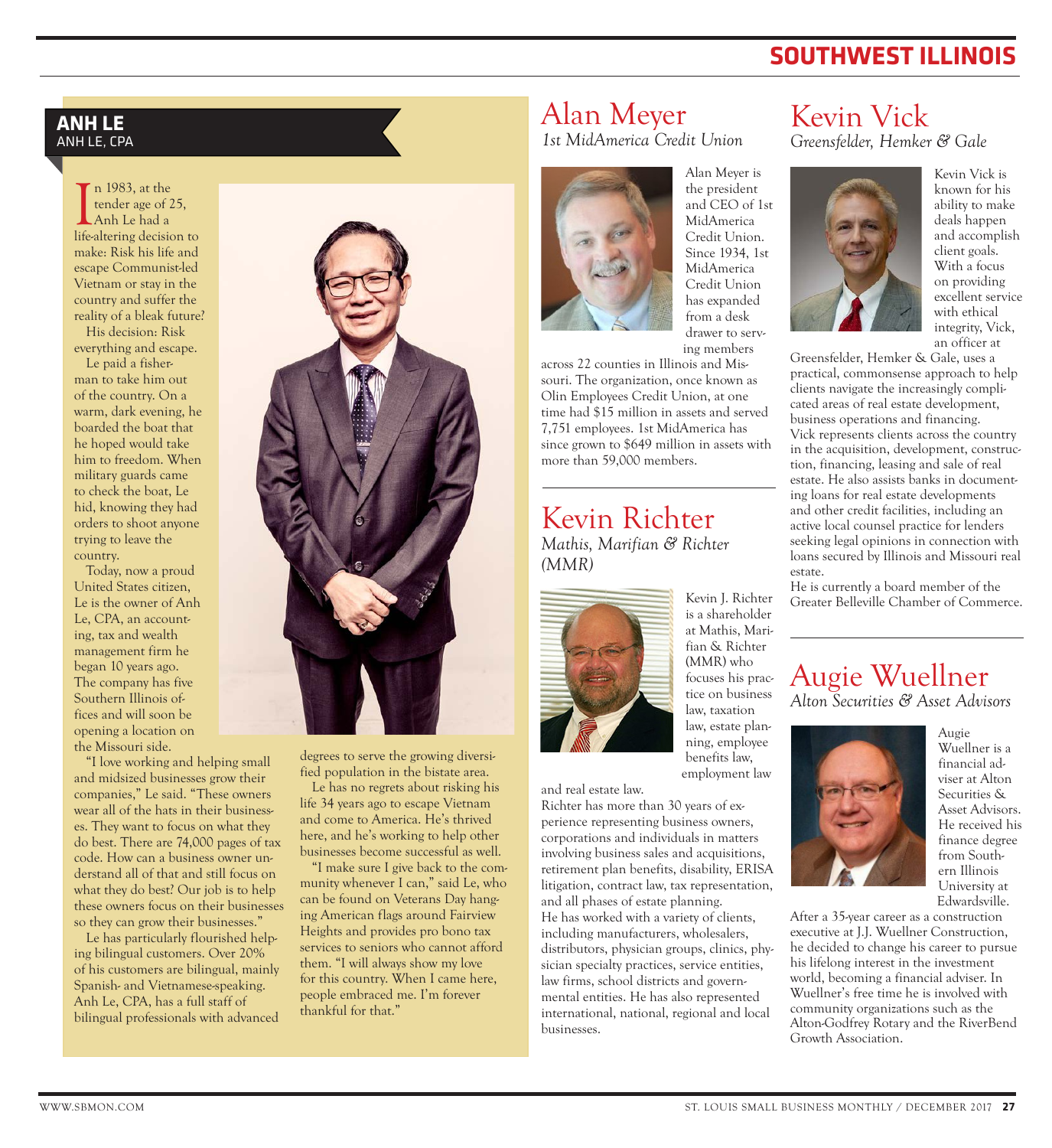## **SOUTHWEST ILLINOIS**

#### **ANH LE** ANH LE, CPA

In 1983, at the<br>tender age of 25,<br>Anh Le had a<br>life-altering decision to n 1983, at the tender age of 25, Anh Le had a make: Risk his life and escape Communist-led Vietnam or stay in the country and suffer the reality of a bleak future?

His decision: Risk everything and escape.

Le paid a fisherman to take him out of the country. On a warm, dark evening, he boarded the boat that he hoped would take him to freedom. When military guards came to check the boat, Le hid, knowing they had orders to shoot anyone trying to leave the country.

Today, now a proud United States citizen, Le is the owner of Anh Le, CPA, an accounting, tax and wealth management firm he began 10 years ago. The company has five Southern Illinois offices and will soon be opening a location on the Missouri side.

"I love working and helping small and midsized businesses grow their companies," Le said. "These owners wear all of the hats in their businesses. They want to focus on what they do best. There are 74,000 pages of tax code. How can a business owner understand all of that and still focus on what they do best? Our job is to help these owners focus on their businesses so they can grow their businesses."

Le has particularly flourished helping bilingual customers. Over 20% of his customers are bilingual, mainly Spanish- and Vietnamese-speaking. Anh Le, CPA, has a full staff of bilingual professionals with advanced



degrees to serve the growing diversified population in the bistate area.

Le has no regrets about risking his life 34 years ago to escape Vietnam and come to America. He's thrived here, and he's working to help other businesses become successful as well.

"I make sure I give back to the community whenever I can," said Le, who can be found on Veterans Day hanging American flags around Fairview Heights and provides pro bono tax services to seniors who cannot afford them. "I will always show my love for this country. When I came here, people embraced me. I'm forever thankful for that."

### Alan Meyer *1st MidAmerica Credit Union*



the president and CEO of 1st MidAmerica Credit Union. Since 1934, 1st MidAmerica Credit Union has expanded from a desk drawer to serving members

across 22 counties in Illinois and Missouri. The organization, once known as Olin Employees Credit Union, at one time had \$15 million in assets and served 7,751 employees. 1st MidAmerica has since grown to \$649 million in assets with more than 59,000 members.

Kevin Richter *Mathis, Marifian & Richter (MMR)*



is a shareholder at Mathis, Marifian & Richter (MMR) who focuses his practice on business law, taxation law, estate planning, employee benefits law, employment law

Kevin J. Richter

and real estate law. Richter has more than 30 years of experience representing business owners, corporations and individuals in matters involving business sales and acquisitions, retirement plan benefits, disability, ERISA litigation, contract law, tax representation, and all phases of estate planning. He has worked with a variety of clients, including manufacturers, wholesalers, distributors, physician groups, clinics, physician specialty practices, service entities, law firms, school districts and governmental entities. He has also represented international, national, regional and local businesses.

# Kevin Vick

*Greensfelder, Hemker & Gale*



Kevin Vick is known for his ability to make deals happen and accomplish client goals. With a focus on providing excellent service with ethical integrity, Vick, an officer at

Greensfelder, Hemker & Gale, uses a practical, commonsense approach to help clients navigate the increasingly complicated areas of real estate development, business operations and financing. Vick represents clients across the country in the acquisition, development, construction, financing, leasing and sale of real estate. He also assists banks in documenting loans for real estate developments and other credit facilities, including an active local counsel practice for lenders seeking legal opinions in connection with loans secured by Illinois and Missouri real estate.

He is currently a board member of the Greater Belleville Chamber of Commerce.

#### Augie Wuellner *Alton Securities & Asset Advisors*



Augie Wuellner is a financial adviser at Alton Securities & Asset Advisors. He received his finance degree from Southern Illinois University at Edwardsville.

After a 35-year career as a construction executive at J.J. Wuellner Construction, he decided to change his career to pursue his lifelong interest in the investment world, becoming a financial adviser. In Wuellner's free time he is involved with community organizations such as the Alton-Godfrey Rotary and the RiverBend Growth Association.